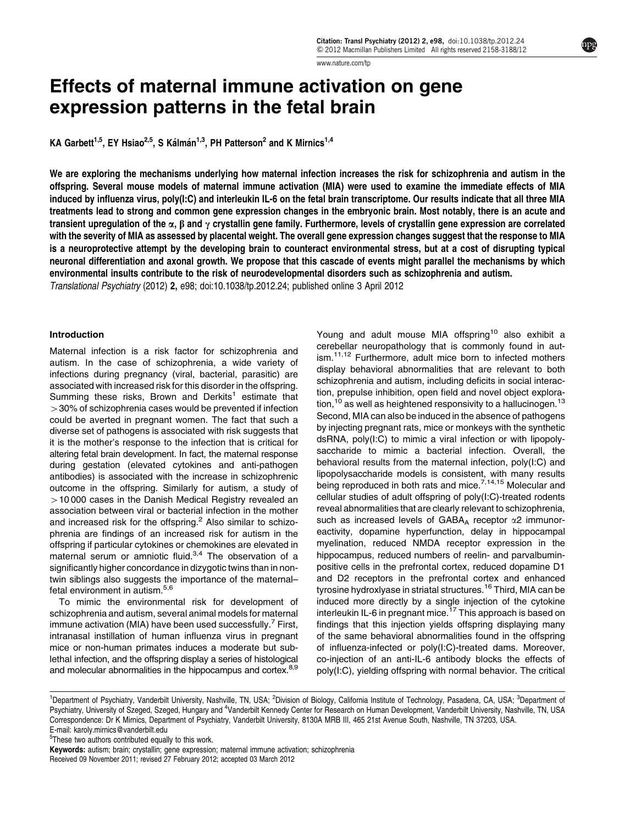[www.nature.com/tp](http://www.nature.com/tp)

# Effects of maternal immune activation on gene expression patterns in the fetal brain

KA Garbett<sup>1,5</sup>, EY Hsiao<sup>2,5</sup>, S Kálmán<sup>1,3</sup>, PH Patterson<sup>2</sup> and K Mirnics<sup>1,4</sup>

We are exploring the mechanisms underlying how maternal infection increases the risk for schizophrenia and autism in the offspring. Several mouse models of maternal immune activation (MIA) were used to examine the immediate effects of MIA induced by influenza virus, poly(I:C) and interleukin IL-6 on the fetal brain transcriptome. Our results indicate that all three MIA treatments lead to strong and common gene expression changes in the embryonic brain. Most notably, there is an acute and transient upregulation of the  $\alpha$ ,  $\beta$  and  $\gamma$  crystallin gene family. Furthermore, levels of crystallin gene expression are correlated with the severity of MIA as assessed by placental weight. The overall gene expression changes suggest that the response to MIA is a neuroprotective attempt by the developing brain to counteract environmental stress, but at a cost of disrupting typical neuronal differentiation and axonal growth. We propose that this cascade of events might parallel the mechanisms by which environmental insults contribute to the risk of neurodevelopmental disorders such as schizophrenia and autism. Translational Psychiatry (2012) 2, e98; doi:[10.1038/tp.2012.24](http://dx.doi.org/10.1038/tp.2012.24); published online 3 April 2012

### Introduction

Maternal infection is a risk factor for schizophrenia and autism. In the case of schizophrenia, a wide variety of infections during pregnancy (viral, bacterial, parasitic) are associated with increased risk for this disorder in the offspring. Summing these risks, Brown and Derkits<sup>[1](#page-6-0)</sup> estimate that  $>$  30% of schizophrenia cases would be prevented if infection could be averted in pregnant women. The fact that such a diverse set of pathogens is associated with risk suggests that it is the mother's response to the infection that is critical for altering fetal brain development. In fact, the maternal response during gestation (elevated cytokines and anti-pathogen antibodies) is associated with the increase in schizophrenic outcome in the offspring. Similarly for autism, a study of  $>$  10000 cases in the Danish Medical Registry revealed an association between viral or bacterial infection in the mother and increased risk for the offspring.<sup>[2](#page-6-0)</sup> Also similar to schizophrenia are findings of an increased risk for autism in the offspring if particular cytokines or chemokines are elevated in maternal serum or amniotic fluid.<sup>[3,4](#page-6-0)</sup> The observation of a significantly higher concordance in dizygotic twins than in nontwin siblings also suggests the importance of the maternal– fetal environment in autism.<sup>[5,6](#page-6-0)</sup>

To mimic the environmental risk for development of schizophrenia and autism, several animal models for maternal immune activation (MIA) have been used successfully.<sup>[7](#page-6-0)</sup> First, intranasal instillation of human influenza virus in pregnant mice or non-human primates induces a moderate but sublethal infection, and the offspring display a series of histological and molecular abnormalities in the hippocampus and cortex.<sup>8,9</sup>

Young and adult mouse MIA offspring<sup>[10](#page-6-0)</sup> also exhibit a cerebellar neuropathology that is commonly found in aut-ism.<sup>[11,12](#page-6-0)</sup> Furthermore, adult mice born to infected mothers display behavioral abnormalities that are relevant to both schizophrenia and autism, including deficits in social interaction, prepulse inhibition, open field and novel object exploration, $10$  as well as heightened responsivity to a hallucinogen.<sup>[13](#page-6-0)</sup> Second, MIA can also be induced in the absence of pathogens by injecting pregnant rats, mice or monkeys with the synthetic dsRNA, poly(I:C) to mimic a viral infection or with lipopolysaccharide to mimic a bacterial infection. Overall, the behavioral results from the maternal infection, poly(I:C) and lipopolysaccharide models is consistent, with many results being reproduced in both rats and mice.<sup>[7,14,15](#page-6-0)</sup> Molecular and cellular studies of adult offspring of poly(I:C)-treated rodents reveal abnormalities that are clearly relevant to schizophrenia, such as increased levels of  $GABA_A$  receptor  $\alpha$ 2 immunoreactivity, dopamine hyperfunction, delay in hippocampal myelination, reduced NMDA receptor expression in the hippocampus, reduced numbers of reelin- and parvalbuminpositive cells in the prefrontal cortex, reduced dopamine D1 and D2 receptors in the prefrontal cortex and enhanced tyrosine hydroxlyase in striatal structures.<sup>[16](#page-6-0)</sup> Third, MIA can be induced more directly by a single injection of the cytokine interleukin IL-6 in pregnant mice.<sup>[17](#page-6-0)</sup> This approach is based on findings that this injection yields offspring displaying many of the same behavioral abnormalities found in the offspring of influenza-infected or poly(I:C)-treated dams. Moreover, co-injection of an anti-IL-6 antibody blocks the effects of poly(I:C), yielding offspring with normal behavior. The critical

Received 09 November 2011; revised 27 February 2012; accepted 03 March 2012 Keywords: autism; brain; crystallin; gene expression; maternal immune activation; schizophrenia

<sup>&</sup>lt;sup>1</sup>Department of Psychiatry, Vanderbilt University, Nashville, TN, USA; <sup>2</sup>Division of Biology, California Institute of Technology, Pasadena, CA, USA; <sup>3</sup>Department of Psychiatry, University of Szeged, Szeged, Hungary and <sup>4</sup>Vanderbilt Kennedy Center for Research on Human Development, Vanderbilt University, Nashville, TN, USA Correspondence: Dr K Mirnics, Department of Psychiatry, Vanderbilt University, 8130A MRB III, 465 21st Avenue South, Nashville, TN 37203, USA. E-mail: [karoly.mirnics@vanderbilt.edu](mailto:karoly.mirnics@vanderbilt.edu)

<sup>&</sup>lt;sup>5</sup>These two authors contributed equally to this work.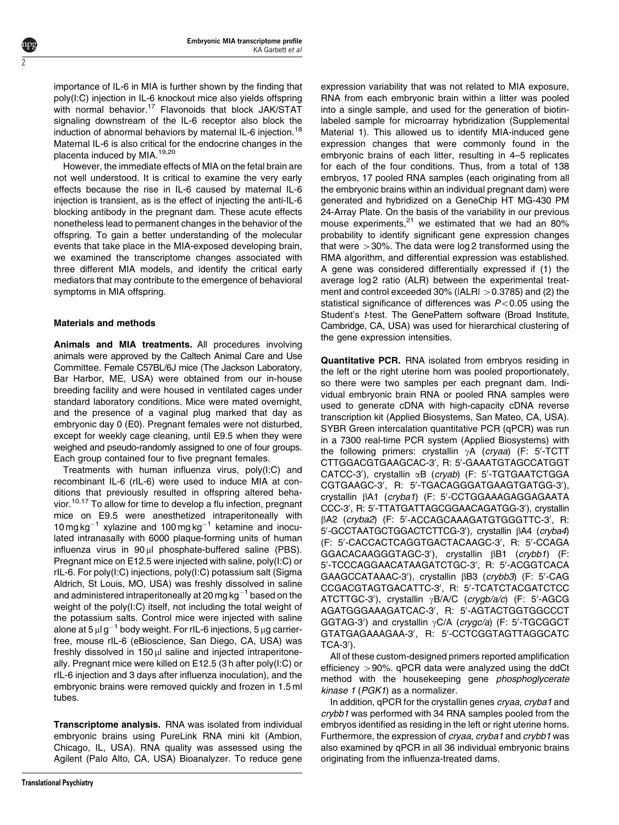importance of IL-6 in MIA is further shown by the finding that poly(I:C) injection in IL-6 knockout mice also yields offspring with normal behavior.<sup>[17](#page-6-0)</sup> Flavonoids that block JAK/STAT signaling downstream of the IL-6 receptor also block the induction of abnormal behaviors by maternal IL-6 injection.<sup>[18](#page-6-0)</sup> Maternal IL-6 is also critical for the endocrine changes in the placenta induced by MIA.<sup>[19,20](#page-6-0)</sup>

However, the immediate effects of MIA on the fetal brain are not well understood. It is critical to examine the very early effects because the rise in IL-6 caused by maternal IL-6 injection is transient, as is the effect of injecting the anti-IL-6 blocking antibody in the pregnant dam. These acute effects nonetheless lead to permanent changes in the behavior of the offspring. To gain a better understanding of the molecular events that take place in the MIA-exposed developing brain, we examined the transcriptome changes associated with three different MIA models, and identify the critical early mediators that may contribute to the emergence of behavioral symptoms in MIA offspring.

## Materials and methods

2

Animals and MIA treatments. All procedures involving animals were approved by the Caltech Animal Care and Use Committee. Female C57BL/6J mice (The Jackson Laboratory, Bar Harbor, ME, USA) were obtained from our in-house breeding facility and were housed in ventilated cages under standard laboratory conditions. Mice were mated overnight, and the presence of a vaginal plug marked that day as embryonic day 0 (E0). Pregnant females were not disturbed, except for weekly cage cleaning, until E9.5 when they were weighed and pseudo-randomly assigned to one of four groups. Each group contained four to five pregnant females.

Treatments with human influenza virus, poly(I:C) and recombinant IL-6 (rIL-6) were used to induce MIA at conditions that previously resulted in offspring altered beha-vior.<sup>[10,17](#page-6-0)</sup> To allow for time to develop a flu infection, pregnant mice on E9.5 were anesthetized intraperitoneally with 10 mg kg $^{-1}$  xylazine and 100 mg kg $^{-1}$  ketamine and inoculated intranasally with 6000 plaque-forming units of human influenza virus in  $90 \mu l$  phosphate-buffered saline (PBS). Pregnant mice on E12.5 were injected with saline, poly(I:C) or rIL-6. For poly(I:C) injections, poly(I:C) potassium salt (Sigma Aldrich, St Louis, MO, USA) was freshly dissolved in saline and administered intraperitoneally at 20 mg kg $^{-1}$  based on the weight of the poly(I:C) itself, not including the total weight of the potassium salts. Control mice were injected with saline alone at 5  $\mu$ l g $^{-1}$  body weight. For rIL-6 injections, 5  $\mu$ g carrierfree, mouse rIL-6 (eBioscience, San Diego, CA, USA) was freshly dissolved in  $150 \mu l$  saline and injected intraperitoneally. Pregnant mice were killed on E12.5 (3 h after poly(I:C) or rIL-6 injection and 3 days after influenza inoculation), and the embryonic brains were removed quickly and frozen in 1.5 ml tubes.

Transcriptome analysis. RNA was isolated from individual embryonic brains using PureLink RNA mini kit (Ambion, Chicago, IL, USA). RNA quality was assessed using the Agilent (Palo Alto, CA, USA) Bioanalyzer. To reduce gene

expression variability that was not related to MIA exposure, RNA from each embryonic brain within a litter was pooled into a single sample, and used for the generation of biotinlabeled sample for microarray hybridization (Supplemental Material 1). This allowed us to identify MIA-induced gene expression changes that were commonly found in the embryonic brains of each litter, resulting in 4–5 replicates for each of the four conditions. Thus, from a total of 138 embryos, 17 pooled RNA samples (each originating from all the embryonic brains within an individual pregnant dam) were generated and hybridized on a GeneChip HT MG-430 PM 24-Array Plate. On the basis of the variability in our previous mouse experiments, $21$  we estimated that we had an 80% probability to identify significant gene expression changes that were  $>30\%$ . The data were log 2 transformed using the RMA algorithm, and differential expression was established. A gene was considered differentially expressed if (1) the average log 2 ratio (ALR) between the experimental treatment and control exceeded 30% ( $|ALR| > 0.3785$ ) and (2) the statistical significance of differences was  $P<0.05$  using the Student's t-test. The GenePattern software (Broad Institute, Cambridge, CA, USA) was used for hierarchical clustering of the gene expression intensities.

Quantitative PCR. RNA isolated from embryos residing in the left or the right uterine horn was pooled proportionately, so there were two samples per each pregnant dam. Individual embryonic brain RNA or pooled RNA samples were used to generate cDNA with high-capacity cDNA reverse transcription kit (Applied Biosystems, San Mateo, CA, USA). SYBR Green intercalation quantitative PCR (qPCR) was run in a 7300 real-time PCR system (Applied Biosystems) with the following primers: crystallin  $\gamma$ A (cryaa) (F: 5'-TCTT CTTGGACGTGAAGCAC-3', R: 5'-GAAATGTAGCCATGGT CATCC-3'), crystallin &B (cryab) (F: 5'-TGTGAATCTGGA CGTGAAGC-3', R: 5'-TGACAGGGATGAAGTGATGG-3'), crystallin  $\beta$ A1 (cryba1) (F: 5'-CCTGGAAAGAGGAGAATA CCC-3', R: 5'-TTATGATTAGCGGAACAGATGG-3'), crystallin βA2 (cryba2) (F: 5'-ACCAGCAAAGATGTGGGTTC-3', R: 5'-GCCTAATGCTGGACTCTTCG-3'), crystallin βA4 (cryba4) (F: 5'-CACCACTCAGGTGACTACAAGC-3', R: 5'-CCAGA GGACACAAGGGTAGC-3'), crystallin  $\beta$ B1 (crybb1) (F: 5'-TCCCAGGAACATAAGATCTGC-3', R: 5'-ACGGTCACA GAAGCCATAAAC-3'), crystallin  $\beta$ B3 (crybb3) (F: 5'-CAG CCGACGTAGTGACATTC-3', R: 5'-TCATCTACGATCTCC ATCTTGC-3'), crystallin yB/A/C (crygb/a/c) (F: 5'-AGCG AGATGGGAAAGATCAC-3', R: 5'-AGTACTGGTGGCCCT GGTAG-3') and crystallin  $\gamma$ C/A (crygc/a) (F: 5'-TGCGGCT GTATGAGAAAGAA-3', R: 5'-CCTCGGTAGTTAGGCATC  $TCA-3$ <sup>'</sup>).

All of these custom-designed primers reported amplification efficiency  $>90\%$ . qPCR data were analyzed using the ddCt method with the housekeeping gene phosphoglycerate kinase 1 (PGK1) as a normalizer.

In addition, qPCR for the crystallin genes cryaa, cryba1 and crybb1 was performed with 34 RNA samples pooled from the embryos identified as residing in the left or right uterine horns. Furthermore, the expression of cryaa, cryba1 and crybb1 was also examined by qPCR in all 36 individual embryonic brains originating from the influenza-treated dams.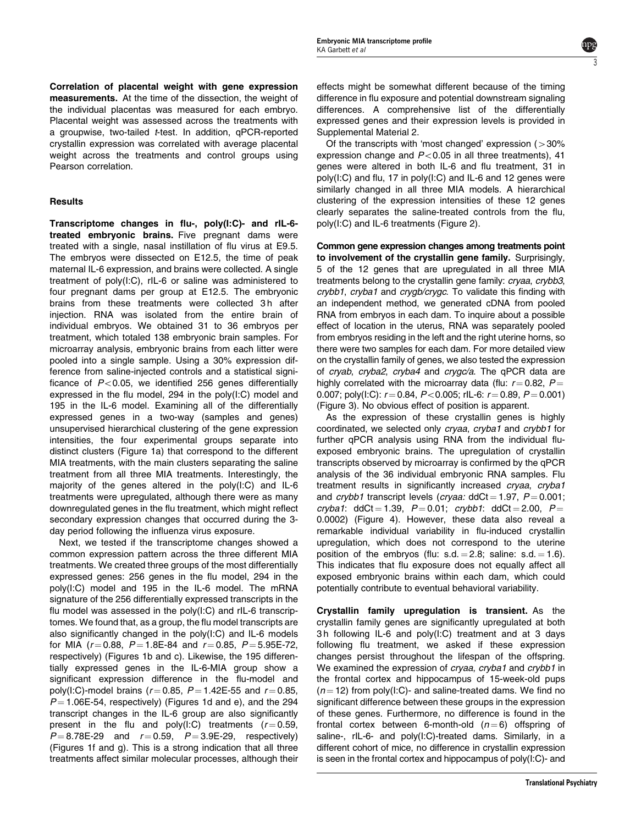3

Correlation of placental weight with gene expression measurements. At the time of the dissection, the weight of the individual placentas was measured for each embryo. Placental weight was assessed across the treatments with a groupwise, two-tailed t-test. In addition, qPCR-reported crystallin expression was correlated with average placental weight across the treatments and control groups using Pearson correlation.

## Results

Transcriptome changes in flu-, poly(I:C)- and rIL-6 treated embryonic brains. Five pregnant dams were treated with a single, nasal instillation of flu virus at E9.5. The embryos were dissected on E12.5, the time of peak maternal IL-6 expression, and brains were collected. A single treatment of poly(I:C), rIL-6 or saline was administered to four pregnant dams per group at E12.5. The embryonic brains from these treatments were collected 3h after injection. RNA was isolated from the entire brain of individual embryos. We obtained 31 to 36 embryos per treatment, which totaled 138 embryonic brain samples. For microarray analysis, embryonic brains from each litter were pooled into a single sample. Using a 30% expression difference from saline-injected controls and a statistical significance of  $P < 0.05$ , we identified 256 genes differentially expressed in the flu model, 294 in the poly(I:C) model and 195 in the IL-6 model. Examining all of the differentially expressed genes in a two-way (samples and genes) unsupervised hierarchical clustering of the gene expression intensities, the four experimental groups separate into distinct clusters [\(Figure 1a\) that correspond to the different](#page-3-0) [MIA treatments, with the main clusters separating the saline](#page-3-0) [treatment from all three MIA treatments. Interestingly, the](#page-3-0) [majority of the genes altered in the poly\(I:C\) and IL-6](#page-3-0) [treatments were upregulated, although there were as many](#page-3-0) [downregulated genes in the flu treatment, which might reflect](#page-3-0) [secondary expression changes that occurred during the 3](#page-3-0) [day period following the influenza virus exposure.](#page-3-0)

Next, we tested if the transcriptome changes showed a common expression pattern across the three different MIA treatments. We created three groups of the most differentially expressed genes: 256 genes in the flu model, 294 in the poly(I:C) model and 195 in the IL-6 model. The mRNA signature of the 256 differentially expressed transcripts in the flu model was assessed in the poly(I:C) and rIL-6 transcriptomes. We found that, as a group, the flu model transcripts are also significantly changed in the poly(I:C) and IL-6 models for MIA ( $r = 0.88$ ,  $P = 1.8E-84$  and  $r = 0.85$ ,  $P = 5.95E-72$ , respectively) [\(Figures 1b and c\). Likewise, the 195 differen](#page-3-0)[tially expressed genes in the IL-6-MIA group show a](#page-3-0) [significant expression difference in the flu-model and](#page-3-0) [poly\(I:C\)-model brains \(](#page-3-0) $r = 0.85$ ,  $P = 1.42E-55$  and  $r = 0.85$ ,  $P = 1.06E-54$  $P = 1.06E-54$ , respectively) (Figures 1d and e), and the 294 [transcript changes in the IL-6 group are also significantly](#page-3-0) [present in the flu and poly\(I:C\) treatments \(](#page-3-0) $r = 0.59$ ,  $P = 8.78E-29$  $P = 8.78E-29$  and  $r = 0.59$ ,  $P = 3.9E-29$ , respectively) [\(Figures 1f and g\). This is a strong indication that all three](#page-3-0) [treatments affect similar molecular processes, although their](#page-3-0) [effects might be somewhat different because of the timing](#page-3-0) [difference in flu exposure and potential downstream signaling](#page-3-0) [differences. A comprehensive list of the differentially](#page-3-0) [expressed genes and their expression levels is provided in](#page-3-0) [Supplemental Material 2.](#page-3-0)

Of the transcripts with 'most changed' expression  $(>30\%)$ expression change and  $P < 0.05$  in all three treatments), 41 genes were altered in both IL-6 and flu treatment, 31 in poly(I:C) and flu, 17 in poly(I:C) and IL-6 and 12 genes were similarly changed in all three MIA models. A hierarchical clustering of the expression intensities of these 12 genes clearly separates the saline-treated controls from the flu, poly(I:C) and IL-6 treatments [\(Figure 2\).](#page-3-0)

Common gene expression changes among treatments point to involvement of the crystallin gene family. Surprisingly, 5 of the 12 genes that are upregulated in all three MIA treatments belong to the crystallin gene family: *cryaa, crybb3*, crybb1, cryba1 and crygb/crygc. To validate this finding with an independent method, we generated cDNA from pooled RNA from embryos in each dam. To inquire about a possible effect of location in the uterus, RNA was separately pooled from embryos residing in the left and the right uterine horns, so there were two samples for each dam. For more detailed view on the crystallin family of genes, we also tested the expression of cryab, cryba2, cryba4 and crygc/a. The qPCR data are highly correlated with the microarray data (flu:  $r = 0.82$ ,  $P =$ 0.007; poly(I:C):  $r = 0.84$ ,  $P < 0.005$ ; rIL-6:  $r = 0.89$ ,  $P = 0.001$ ) ([Figure 3\). No obvious effect of position is apparent.](#page-4-0)

As the expression of these crystallin genes is highly coordinated, we selected only cryaa, cryba1 and crybb1 for further qPCR analysis using RNA from the individual fluexposed embryonic brains. The upregulation of crystallin transcripts observed by microarray is confirmed by the qPCR analysis of the 36 individual embryonic RNA samples. Flu treatment results in significantly increased cryaa, cryba1 and crybb1 transcript levels (cryaa:  $ddCt = 1.97$ ,  $P = 0.001$ ; cryba1: ddCt = 1.39,  $P = 0.01$ ; crybb1: ddCt = 2.00,  $P =$ 0.0002) [\(Figure 4\). However, these data also reveal a](#page-4-0) [remarkable individual variability in flu-induced crystallin](#page-4-0) [upregulation, which does not correspond to the uterine](#page-4-0) position of the embryos (flu:  $s.d. = 2.8$ ; saline:  $s.d. = 1.6$ ). [This indicates that flu exposure does not equally affect all](#page-4-0) [exposed embryonic brains within each dam, which could](#page-4-0) [potentially contribute to eventual behavioral variability.](#page-4-0)

Crystallin family upregulation is transient. As the crystallin family genes are significantly upregulated at both 3 h following IL-6 and poly(I:C) treatment and at 3 days following flu treatment, we asked if these expression changes persist throughout the lifespan of the offspring. We examined the expression of cryaa, cryba1 and crybb1 in the frontal cortex and hippocampus of 15-week-old pups  $(n = 12)$  from poly(I:C)- and saline-treated dams. We find no significant difference between these groups in the expression of these genes. Furthermore, no difference is found in the frontal cortex between 6-month-old  $(n=6)$  offspring of saline-, rIL-6- and poly(I:C)-treated dams. Similarly, in a different cohort of mice, no difference in crystallin expression is seen in the frontal cortex and hippocampus of poly(I:C)- and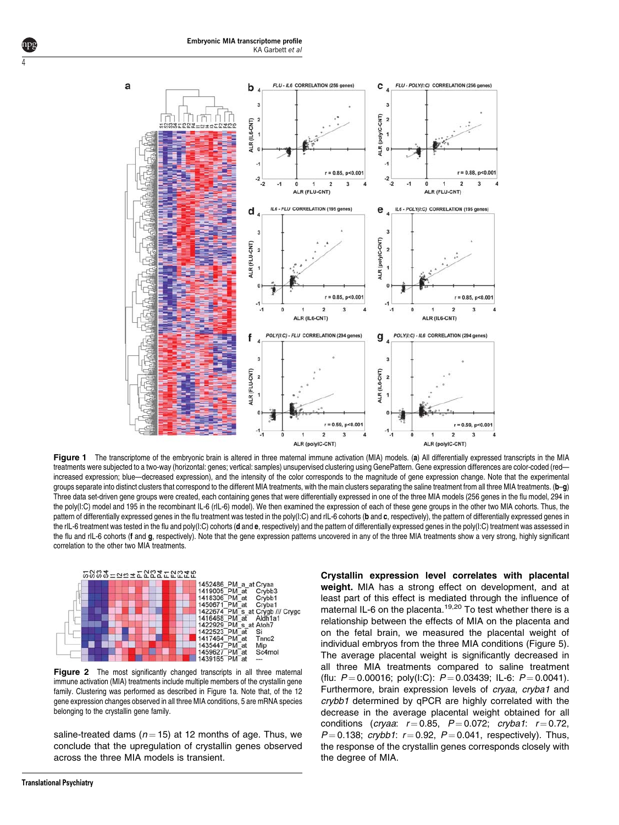

Figure 1 The transcriptome of the embryonic brain is altered in three maternal immune activation (MIA) models. (a) All differentially expressed transcripts in the MIA treatments were subjected to a two-way (horizontal: genes; vertical: samples) unsupervised clustering using GenePattern. Gene expression differences are color-coded (red increased expression; blue—decreased expression), and the intensity of the color corresponds to the magnitude of gene expression change. Note that the experimental groups separate into distinct clusters that correspond to the different MIA treatments, with the main clusters separating the saline treatment from all three MIA treatments. (b-g) Three data set-driven gene groups were created, each containing genes that were differentially expressed in one of the three MIA models (256 genes in the flu model, 294 in the poly(I:C) model and 195 in the recombinant IL-6 (rIL-6) model). We then examined the expression of each of these gene groups in the other two MIA cohorts. Thus, the pattern of differentially expressed genes in the flu treatment was tested in the poly(I:C) and rIL-6 cohorts (b and c, respectively), the pattern of differentially expressed genes in the rIL-6 treatment was tested in the flu and poly(I:C) cohorts (d and e, respectively) and the pattern of differentially expressed genes in the poly(I:C) treatment was assessed in the flu and rIL-6 cohorts (f and g, respectively). Note that the gene expression patterns uncovered in any of the three MIA treatments show a very strong, highly significant correlation to the other two MIA treatments.



Figure 2 The most significantly changed transcripts in all three maternal immune activation (MIA) treatments include multiple members of the crystallin gene family. Clustering was performed as described in Figure 1a. Note that, of the 12 gene expression changes observed in all three MIA conditions, 5 are mRNA species belonging to the crystallin gene family.

saline-treated dams ( $n = 15$ ) at 12 months of age. Thus, we conclude that the upregulation of crystallin genes observed across the three MIA models is transient.

weight. MIA has a strong effect on development, and at least part of this effect is mediated through the influence of maternal IL-6 on the placenta.<sup>[19,20](#page-6-0)</sup> To test whether there is a relationship between the effects of MIA on the placenta and on the fetal brain, we measured the placental weight of individual embryos from the three MIA conditions [\(Figure 5\).](#page-4-0) [The average placental weight is significantly decreased in](#page-4-0) [all three MIA treatments compared to saline treatment](#page-4-0) [\(flu:](#page-4-0)  $P = 0.00016$ ; poly(I:C):  $P = 0.03439$ ; IL-6:  $P = 0.0041$ ). [Furthermore, brain expression levels of](#page-4-0) cryaa, cryba1 and crybb1 [determined by qPCR are highly correlated with the](#page-4-0) [decrease in the average placental weight obtained for all](#page-4-0) [conditions \(](#page-4-0)cryaa:  $r = 0.85$ ,  $P = 0.072$ ; [cryba1](#page-4-0):  $r = 0.72$ ,  $P = 0.138$  $P = 0.138$ ; [crybb1](#page-4-0):  $r = 0.92$ ,  $P = 0.041$ , respectively). Thus, [the response of the crystallin genes corresponds closely with](#page-4-0) [the degree of MIA.](#page-4-0)

Crystallin expression level correlates with placental

<span id="page-3-0"></span>4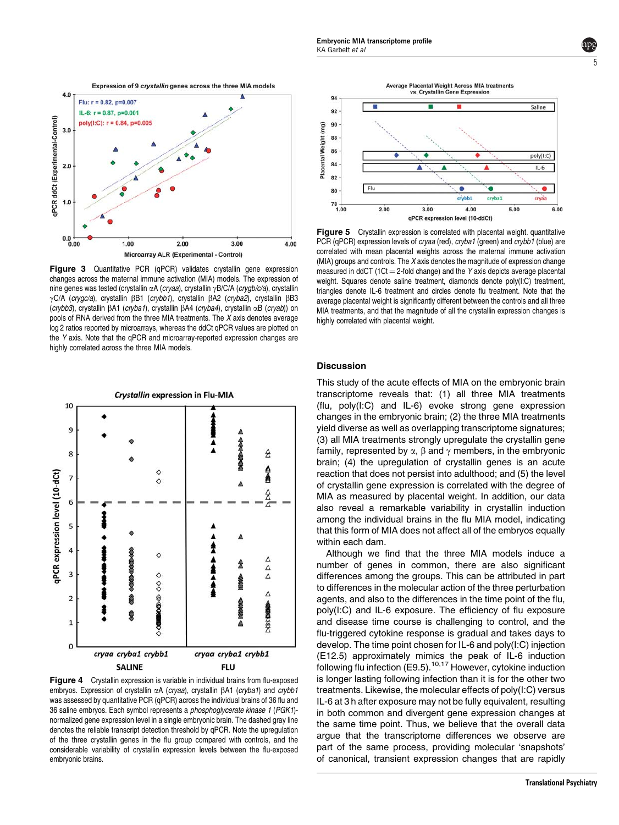<span id="page-4-0"></span>

Figure 3 Quantitative PCR (qPCR) validates crystallin gene expression changes across the maternal immune activation (MIA) models. The expression of nine genes was tested (crystallin  $\alpha A$  (cryaa), crystallin  $\gamma B/C/A$  (crygb/c/a), crystallin γC/A (crygc/a), crystallin  $\beta$ B1 (crybb1), crystallin  $\beta$ A2 (cryba2), crystallin  $\beta$ B3 (crybb3), crystallin bA1 (cryba1), crystallin bA4 (cryba4), crystallin aB (cryab)) on pools of RNA derived from the three MIA treatments. The X axis denotes average log 2 ratios reported by microarrays, whereas the ddCt qPCR values are plotted on the Y axis. Note that the qPCR and microarray-reported expression changes are highly correlated across the three MIA models.



Figure 4 Crystallin expression is variable in individual brains from flu-exposed embryos. Expression of crystallin  $\alpha A$  (cryaa), crystallin  $\beta A1$  (cryba1) and crybb1 was assessed by quantitative PCR (qPCR) across the individual brains of 36 flu and 36 saline embryos. Each symbol represents a phosphoglycerate kinase 1 (PGK1) normalized gene expression level in a single embryonic brain. The dashed gray line denotes the reliable transcript detection threshold by qPCR. Note the upregulation of the three crystallin genes in the flu group compared with controls, and the considerable variability of crystallin expression levels between the flu-exposed embryonic brains.



5

Figure 5 Crystallin expression is correlated with placental weight. quantitative PCR (qPCR) expression levels of *cryaa* (red), *cryba1* (green) and *crybb1* (blue) are correlated with mean placental weights across the maternal immune activation (MIA) groups and controls. The X axis denotes the magnitude of expression change measured in ddCT (1Ct  $=$  2-fold change) and the Y axis depicts average placental weight. Squares denote saline treatment, diamonds denote poly(I:C) treatment, triangles denote IL-6 treatment and circles denote flu treatment. Note that the average placental weight is significantly different between the controls and all three MIA treatments, and that the magnitude of all the crystallin expression changes is highly correlated with placental weight.

### **Discussion**

This study of the acute effects of MIA on the embryonic brain transcriptome reveals that: (1) all three MIA treatments (flu, poly(I:C) and IL-6) evoke strong gene expression changes in the embryonic brain; (2) the three MIA treatments yield diverse as well as overlapping transcriptome signatures; (3) all MIA treatments strongly upregulate the crystallin gene family, represented by  $\alpha$ ,  $\beta$  and  $\gamma$  members, in the embryonic brain; (4) the upregulation of crystallin genes is an acute reaction that does not persist into adulthood; and (5) the level of crystallin gene expression is correlated with the degree of MIA as measured by placental weight. In addition, our data also reveal a remarkable variability in crystallin induction among the individual brains in the flu MIA model, indicating that this form of MIA does not affect all of the embryos equally within each dam.

Although we find that the three MIA models induce a number of genes in common, there are also significant differences among the groups. This can be attributed in part to differences in the molecular action of the three perturbation agents, and also to the differences in the time point of the flu, poly(I:C) and IL-6 exposure. The efficiency of flu exposure and disease time course is challenging to control, and the flu-triggered cytokine response is gradual and takes days to develop. The time point chosen for IL-6 and poly(I:C) injection (E12.5) approximately mimics the peak of IL-6 induction following flu infection  $(E9.5)$ .<sup>10,17</sup> However, cytokine induction is longer lasting following infection than it is for the other two treatments. Likewise, the molecular effects of poly(I:C) versus IL-6 at 3 h after exposure may not be fully equivalent, resulting in both common and divergent gene expression changes at the same time point. Thus, we believe that the overall data argue that the transcriptome differences we observe are part of the same process, providing molecular 'snapshots' of canonical, transient expression changes that are rapidly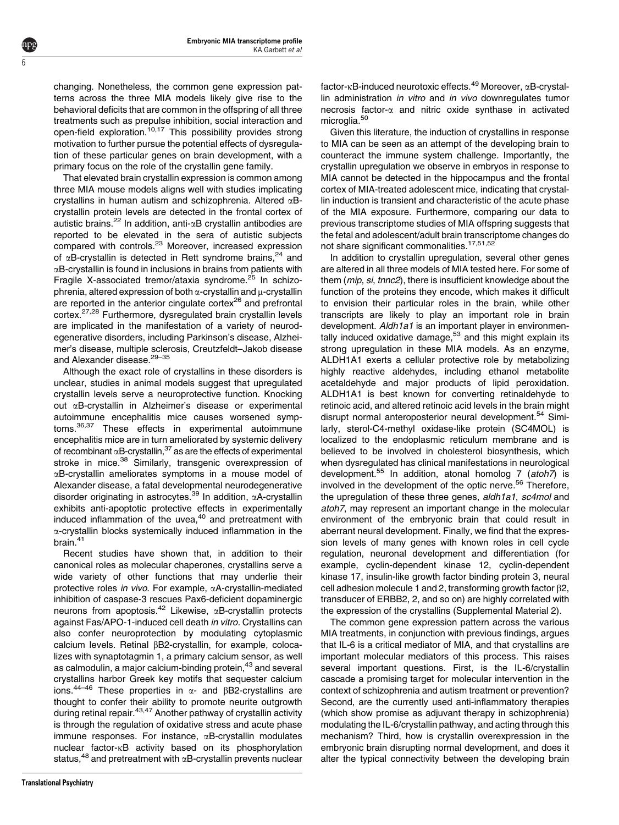changing. Nonetheless, the common gene expression patterns across the three MIA models likely give rise to the behavioral deficits that are common in the offspring of all three treatments such as prepulse inhibition, social interaction and open-field exploration.<sup>[10,17](#page-6-0)</sup> This possibility provides strong motivation to further pursue the potential effects of dysregulation of these particular genes on brain development, with a primary focus on the role of the crystallin gene family.

6

That elevated brain crystallin expression is common among three MIA mouse models aligns well with studies implicating crystallins in human autism and schizophrenia. Altered  $\alpha$ Bcrystallin protein levels are detected in the frontal cortex of autistic brains.<sup>[22](#page-6-0)</sup> In addition, anti- $\alpha$ B crystallin antibodies are reported to be elevated in the sera of autistic subjects compared with controls[.23](#page-6-0) Moreover, increased expression of  $\alpha$ B-crystallin is detected in Rett syndrome brains,<sup>[24](#page-6-0)</sup> and  $\alpha$ B-crystallin is found in inclusions in brains from patients with Fragile X-associated tremor/ataxia syndrome.<sup>[25](#page-6-0)</sup> In schizophrenia, altered expression of both  $\alpha$ -crystallin and  $\mu$ -crystallin are reported in the anterior cingulate cortex $26$  and prefrontal cortex.[27,28](#page-6-0) Furthermore, dysregulated brain crystallin levels are implicated in the manifestation of a variety of neurodegenerative disorders, including Parkinson's disease, Alzheimer's disease, multiple sclerosis, Creutzfeldt–Jakob disease and Alexander disease.<sup>29-35</sup>

Although the exact role of crystallins in these disorders is unclear, studies in animal models suggest that upregulated crystallin levels serve a neuroprotective function. Knocking out aB-crystallin in Alzheimer's disease or experimental autoimmune encephalitis mice causes worsened symptoms.[36,37](#page-6-0) These effects in experimental autoimmune encephalitis mice are in turn ameliorated by systemic delivery of recombinant  $\alpha$ B-crystallin,  $37$  as are the effects of experimental stroke in mice.<sup>[38](#page-6-0)</sup> Similarly, transgenic overexpression of aB-crystallin ameliorates symptoms in a mouse model of Alexander disease, a fatal developmental neurodegenerative disorder originating in astrocytes.<sup>39</sup> In addition,  $\alpha$ A-crystallin exhibits anti-apoptotic protective effects in experimentally induced inflammation of the uvea,<sup>[40](#page-7-0)</sup> and pretreatment with a-crystallin blocks systemically induced inflammation in the brain[.41](#page-7-0)

Recent studies have shown that, in addition to their canonical roles as molecular chaperones, crystallins serve a wide variety of other functions that may underlie their protective roles in vivo. For example, aA-crystallin-mediated inhibition of caspase-3 rescues Pax6-deficient dopaminergic neurons from apoptosis.<sup>42</sup> Likewise,  $\alpha$ B-crystallin protects against Fas/APO-1-induced cell death in vitro. Crystallins can also confer neuroprotection by modulating cytoplasmic calcium levels. Retinal  $\beta$ B2-crystallin, for example, colocalizes with synaptotagmin 1, a primary calcium sensor, as well as calmodulin, a major calcium-binding protein,<sup>[43](#page-7-0)</sup> and several crystallins harbor Greek key motifs that sequester calcium ions.<sup>[44–46](#page-7-0)</sup> These properties in  $\alpha$ - and  $\beta$ B2-crystallins are thought to confer their ability to promote neurite outgrowth during retinal repair.<sup>43,47</sup> Another pathway of crystallin activity is through the regulation of oxidative stress and acute phase immune responses. For instance,  $\alpha$ B-crystallin modulates nuclear factor-kB activity based on its phosphorylation status, $48$  and pretreatment with  $\alpha$ B-crystallin prevents nuclear factor- $\kappa$ B-induced neurotoxic effects.<sup>[49](#page-7-0)</sup> Moreover,  $\alpha$ B-crystallin administration *in vitro* and *in vivo* downregulates tumor necrosis factor- $\alpha$  and nitric oxide synthase in activated microglia.<sup>50</sup>

Given this literature, the induction of crystallins in response to MIA can be seen as an attempt of the developing brain to counteract the immune system challenge. Importantly, the crystallin upregulation we observe in embryos in response to MIA cannot be detected in the hippocampus and the frontal cortex of MIA-treated adolescent mice, indicating that crystallin induction is transient and characteristic of the acute phase of the MIA exposure. Furthermore, comparing our data to previous transcriptome studies of MIA offspring suggests that the fetal and adolescent/adult brain transcriptome changes do not share significant commonalities.<sup>[17,51,52](#page-6-0)</sup>

In addition to crystallin upregulation, several other genes are altered in all three models of MIA tested here. For some of them (mip, si, tnnc2), there is insufficient knowledge about the function of the proteins they encode, which makes it difficult to envision their particular roles in the brain, while other transcripts are likely to play an important role in brain development. Aldh1a1 is an important player in environmentally induced oxidative damage, $53$  and this might explain its strong upregulation in these MIA models. As an enzyme, ALDH1A1 exerts a cellular protective role by metabolizing highly reactive aldehydes, including ethanol metabolite acetaldehyde and major products of lipid peroxidation. ALDH1A1 is best known for converting retinaldehyde to retinoic acid, and altered retinoic acid levels in the brain might disrupt normal anteroposterior neural development.<sup>54</sup> Similarly, sterol-C4-methyl oxidase-like protein (SC4MOL) is localized to the endoplasmic reticulum membrane and is believed to be involved in cholesterol biosynthesis, which when dysregulated has clinical manifestations in neurological development.<sup>55</sup> In addition, atonal homolog 7 (atoh7) is involved in the development of the optic nerve.<sup>[56](#page-7-0)</sup> Therefore, the upregulation of these three genes, aldh1a1, sc4mol and atoh7, may represent an important change in the molecular environment of the embryonic brain that could result in aberrant neural development. Finally, we find that the expression levels of many genes with known roles in cell cycle regulation, neuronal development and differentiation (for example, cyclin-dependent kinase 12, cyclin-dependent kinase 17, insulin-like growth factor binding protein 3, neural cell adhesion molecule 1 and 2, transforming growth factor  $\beta$ 2, transducer of ERBB2, 2, and so on) are highly correlated with the expression of the crystallins (Supplemental Material 2).

The common gene expression pattern across the various MIA treatments, in conjunction with previous findings, argues that IL-6 is a critical mediator of MIA, and that crystallins are important molecular mediators of this process. This raises several important questions. First, is the IL-6/crystallin cascade a promising target for molecular intervention in the context of schizophrenia and autism treatment or prevention? Second, are the currently used anti-inflammatory therapies (which show promise as adjuvant therapy in schizophrenia) modulating the IL-6/crystallin pathway, and acting through this mechanism? Third, how is crystallin overexpression in the embryonic brain disrupting normal development, and does it alter the typical connectivity between the developing brain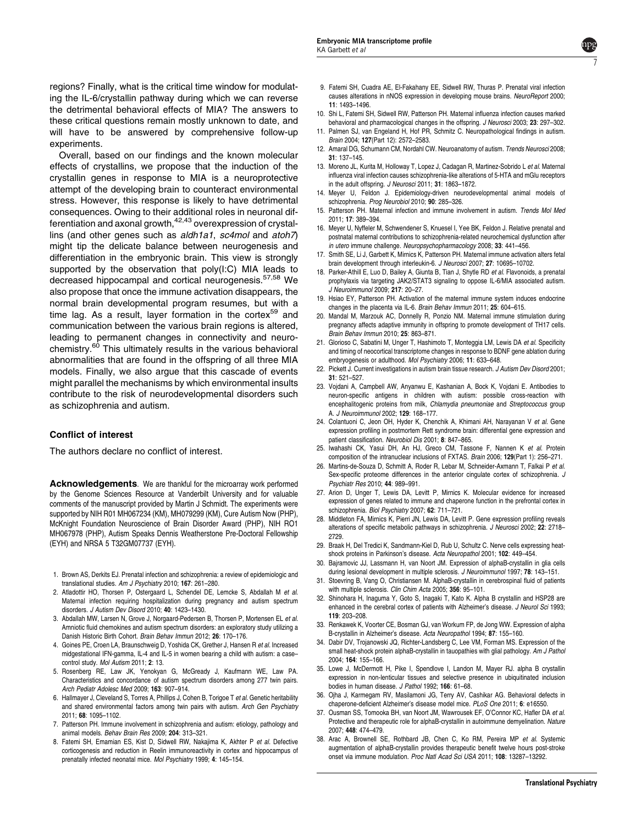<span id="page-6-0"></span>regions? Finally, what is the critical time window for modulating the IL-6/crystallin pathway during which we can reverse the detrimental behavioral effects of MIA? The answers to these critical questions remain mostly unknown to date, and will have to be answered by comprehensive follow-up experiments.

Overall, based on our findings and the known molecular effects of crystallins, we propose that the induction of the crystallin genes in response to MIA is a neuroprotective attempt of the developing brain to counteract environmental stress. However, this response is likely to have detrimental consequences. Owing to their additional roles in neuronal differentiation and axonal growth, $42,43$  overexpression of crystallins (and other genes such as aldh1a1, sc4mol and atoh7) might tip the delicate balance between neurogenesis and differentiation in the embryonic brain. This view is strongly supported by the observation that poly(I:C) MIA leads to decreased hippocampal and cortical neurogenesis.<sup>57,58</sup> We also propose that once the immune activation disappears, the normal brain developmental program resumes, but with a time lag. As a result, layer formation in the cortex<sup>[59](#page-7-0)</sup> and communication between the various brain regions is altered, leading to permanent changes in connectivity and neurochemistry.[60](#page-7-0) This ultimately results in the various behavioral abnormalities that are found in the offspring of all three MIA models. Finally, we also argue that this cascade of events might parallel the mechanisms by which environmental insults contribute to the risk of neurodevelopmental disorders such as schizophrenia and autism.

#### Conflict of interest

The authors declare no conflict of interest.

Acknowledgements. We are thankful for the microarray work performed by the Genome Sciences Resource at Vanderbilt University and for valuable comments of the manuscript provided by Martin J Schmidt. The experiments were supported by NIH R01 MH067234 (KM), MH079299 (KM), Cure Autism Now (PHP), McKnight Foundation Neuroscience of Brain Disorder Award (PHP), NIH RO1 MH067978 (PHP), Autism Speaks Dennis Weatherstone Pre-Doctoral Fellowship (EYH) and NRSA 5 T32GM07737 (EYH).

- 1. Brown AS, Derkits EJ. Prenatal infection and schizophrenia: a review of epidemiologic and translational studies. Am J Psychiatry 2010; 167: 261–280.
- 2. Atladottir HO, Thorsen P, Ostergaard L, Schendel DE, Lemcke S, Abdallah M et al. Maternal infection requiring hospitalization during pregnancy and autism spectrum disorders. J Autism Dev Disord 2010; 40: 1423–1430.
- 3. Abdallah MW, Larsen N, Grove J, Norgaard-Pedersen B, Thorsen P, Mortensen EL et al. Amniotic fluid chemokines and autism spectrum disorders: an exploratory study utilizing a Danish Historic Birth Cohort. Brain Behav Immun 2012; 26: 170–176.
- 4. Goines PE, Croen LA, Braunschweig D, Yoshida CK, Grether J, Hansen R et al. Increased midgestational IFN-gamma, IL-4 and IL-5 in women bearing a child with autism: a case– control study. Mol Autism 2011; 2: 13.
- 5. Rosenberg RE, Law JK, Yenokyan G, McGready J, Kaufmann WE, Law PA. Characteristics and concordance of autism spectrum disorders among 277 twin pairs. Arch Pediatr Adolesc Med 2009; 163: 907–914.
- 6. Hallmayer J, Cleveland S, Torres A, Phillips J, Cohen B, Torigoe T et al. Genetic heritability and shared environmental factors among twin pairs with autism. Arch Gen Psychiatry 2011; 68: 1095–1102.
- 7. Patterson PH. Immune involvement in schizophrenia and autism: etiology, pathology and animal models. Behav Brain Res 2009; 204: 313–321.
- 8. Fatemi SH, Emamian ES, Kist D, Sidwell RW, Nakajima K, Akhter P et al. Defective corticogenesis and reduction in Reelin immunoreactivity in cortex and hippocampus of prenatally infected neonatal mice. Mol Psychiatry 1999; 4: 145–154.

9. Fatemi SH, Cuadra AE, El-Fakahany EE, Sidwell RW, Thuras P. Prenatal viral infection causes alterations in nNOS expression in developing mouse brains. NeuroReport 2000; 11: 1493–1496.

7

- 10. Shi L, Fatemi SH, Sidwell RW, Patterson PH. Maternal influenza infection causes marked behavioral and pharmacological changes in the offspring. J Neurosci 2003; 23: 297-302.
- 11. Palmen SJ, van Engeland H, Hof PR, Schmitz C. Neuropathological findings in autism. Brain 2004; 127(Part 12): 2572–2583.
- 12. Amaral DG, Schumann CM, Nordahl CW. Neuroanatomy of autism. Trends Neurosci 2008; 31: 137–145.
- 13. Moreno JL, Kurita M, Holloway T, Lopez J, Cadagan R, Martinez-Sobrido L et al. Maternal influenza viral infection causes schizophrenia-like alterations of 5-HTA and mGlu receptors in the adult offspring. J Neurosci 2011; 31: 1863–1872.
- 14. Meyer U, Feldon J. Epidemiology-driven neurodevelopmental animal models of schizophrenia. Prog Neurobiol 2010; 90: 285–326.
- 15. Patterson PH. Maternal infection and immune involvement in autism. Trends Mol Med 2011; 17: 389–394.
- 16. Meyer U, Nyffeler M, Schwendener S, Knuesel I, Yee BK, Feldon J. Relative prenatal and postnatal maternal contributions to schizophrenia-related neurochemical dysfunction after in utero immune challenge. Neuropsychopharmacology 2008; 33: 441-456.
- 17. Smith SE, Li J, Garbett K, Mirnics K, Patterson PH. Maternal immune activation alters fetal brain development through interleukin-6. J Neurosci 2007; 27: 10695-10702.
- 18. Parker-Athill E, Luo D, Bailey A, Giunta B, Tian J, Shytle RD et al. Flavonoids, a prenatal prophylaxis via targeting JAK2/STAT3 signaling to oppose IL-6/MIA associated autism. J Neuroimmunol 2009; 217: 20–27.
- 19. Hsiao EY, Patterson PH. Activation of the maternal immune system induces endocrine changes in the placenta via IL-6. Brain Behav Immun 2011; 25: 604–615.
- 20. Mandal M, Marzouk AC, Donnelly R, Ponzio NM. Maternal immune stimulation during pregnancy affects adaptive immunity in offspring to promote development of TH17 cells. Brain Behav Immun 2010; 25: 863–871.
- 21. Glorioso C, Sabatini M, Unger T, Hashimoto T, Monteggia LM, Lewis DA et al. Specificity and timing of neocortical transcriptome changes in response to BDNF gene ablation during embryogenesis or adulthood. Mol Psychiatry 2006; 11: 633–648.
- 22. Pickett J. Current investigations in autism brain tissue research. J Autism Dev Disord 2001; 31: 521–527.
- 23. Vojdani A, Campbell AW, Anyanwu E, Kashanian A, Bock K, Vojdani E. Antibodies to neuron-specific antigens in children with autism: possible cross-reaction with encephalitogenic proteins from milk, Chlamydia pneumoniae and Streptococcus group A. J Neuroimmunol 2002; 129: 168–177.
- 24. Colantuoni C, Jeon OH, Hyder K, Chenchik A, Khimani AH, Narayanan V et al. Gene expression profiling in postmortem Rett syndrome brain: differential gene expression and patient classification. Neurobiol Dis 2001; 8: 847–865.
- 25. Iwahashi CK, Yasui DH, An HJ, Greco CM, Tassone F, Nannen K et al. Protein composition of the intranuclear inclusions of FXTAS. Brain 2006; 129(Part 1): 256–271.
- 26. Martins-de-Souza D, Schmitt A, Roder R, Lebar M, Schneider-Axmann T, Falkai P et al. Sex-specific proteome differences in the anterior cingulate cortex of schizophrenia. J Psychiatr Res 2010; 44: 989–991.
- 27. Arion D, Unger T, Lewis DA, Levitt P, Mirnics K. Molecular evidence for increased expression of genes related to immune and chaperone function in the prefrontal cortex in schizophrenia. Biol Psychiatry 2007; 62: 711–721.
- 28. Middleton FA, Mirnics K, Pierri JN, Lewis DA, Levitt P. Gene expression profiling reveals alterations of specific metabolic pathways in schizophrenia. J Neurosci 2002; 22: 2718-2729.
- 29. Braak H, Del Tredici K, Sandmann-Kiel D, Rub U, Schultz C. Nerve cells expressing heatshock proteins in Parkinson's disease. Acta Neuropathol 2001; 102: 449–454.
- 30. Bajramovic JJ, Lassmann H, van Noort JM. Expression of alphaB-crystallin in glia cells during lesional development in multiple sclerosis. J Neuroimmunol 1997; 78: 143-151.
- 31. Stoevring B, Vang O, Christiansen M. AlphaB-crystallin in cerebrospinal fluid of patients with multiple sclerosis. Clin Chim Acta 2005; 356: 95-101.
- 32. Shinohara H, Inaguma Y, Goto S, Inagaki T, Kato K. Alpha B crystallin and HSP28 are enhanced in the cerebral cortex of patients with Alzheimer's disease. J Neurol Sci 1993; 119: 203–208.
- 33. Renkawek K, Voorter CE, Bosman GJ, van Workum FP, de Jong WW. Expression of alpha B-crystallin in Alzheimer's disease. Acta Neuropathol 1994; 87: 155–160.
- 34. Dabir DV, Trojanowski JQ, Richter-Landsberg C, Lee VM, Forman MS. Expression of the small heat-shock protein alphaB-crystallin in tauopathies with glial pathology. Am J Pathol 2004; 164: 155–166.
- 35. Lowe J, McDermott H, Pike I, Spendlove I, Landon M, Mayer RJ. alpha B crystallin expression in non-lenticular tissues and selective presence in ubiquitinated inclusion bodies in human disease. J Pathol 1992; 166: 61-68.
- 36. Ojha J, Karmegam RV, Masilamoni JG, Terry AV, Cashikar AG. Behavioral defects in chaperone-deficient Alzheimer's disease model mice. PLoS One 2011; 6: e16550.
- 37. Ousman SS, Tomooka BH, van Noort JM, Wawrousek EF, O'Connor KC, Hafler DA et al. Protective and therapeutic role for alphaB-crystallin in autoimmune demyelination. Nature 2007; 448: 474–479.
- 38. Arac A, Brownell SE, Rothbard JB, Chen C, Ko RM, Pereira MP et al. Systemic augmentation of alphaB-crystallin provides therapeutic benefit twelve hours post-stroke onset via immune modulation. Proc Natl Acad Sci USA 2011; 108: 13287–13292.